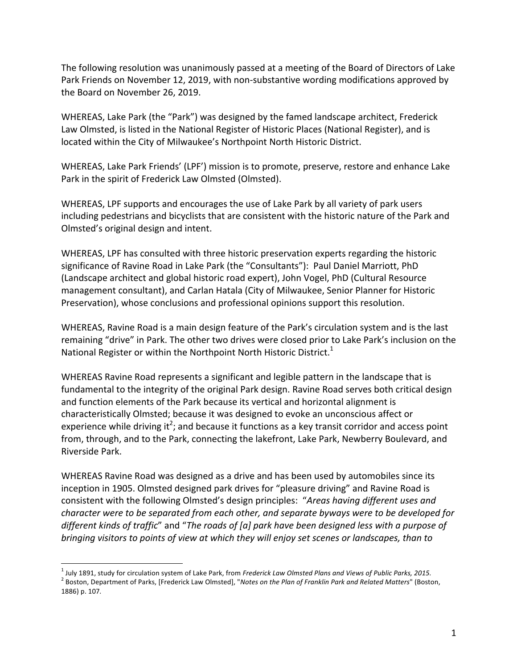The following resolution was unanimously passed at a meeting of the Board of Directors of Lake Park Friends on November 12, 2019, with non-substantive wording modifications approved by the Board on November 26, 2019.

WHEREAS, Lake Park (the "Park") was designed by the famed landscape architect, Frederick Law Olmsted, is listed in the National Register of Historic Places (National Register), and is located within the City of Milwaukee's Northpoint North Historic District.

WHEREAS, Lake Park Friends' (LPF') mission is to promote, preserve, restore and enhance Lake Park in the spirit of Frederick Law Olmsted (Olmsted).

WHEREAS, LPF supports and encourages the use of Lake Park by all variety of park users including pedestrians and bicyclists that are consistent with the historic nature of the Park and Olmsted's original design and intent.

WHEREAS, LPF has consulted with three historic preservation experts regarding the historic significance of Ravine Road in Lake Park (the "Consultants"): Paul Daniel Marriott, PhD (Landscape architect and global historic road expert), John Vogel, PhD (Cultural Resource management consultant), and Carlan Hatala (City of Milwaukee, Senior Planner for Historic Preservation), whose conclusions and professional opinions support this resolution.

WHEREAS, Ravine Road is a main design feature of the Park's circulation system and is the last remaining "drive" in Park. The other two drives were closed prior to Lake Park's inclusion on the National Register or within the Northpoint North Historic District.<sup>1</sup>

WHEREAS Ravine Road represents a significant and legible pattern in the landscape that is fundamental to the integrity of the original Park design. Ravine Road serves both critical design and function elements of the Park because its vertical and horizontal alignment is characteristically Olmsted; because it was designed to evoke an unconscious affect or experience while driving it<sup>2</sup>; and because it functions as a key transit corridor and access point from, through, and to the Park, connecting the lakefront, Lake Park, Newberry Boulevard, and Riverside Park.

WHEREAS Ravine Road was designed as a drive and has been used by automobiles since its inception in 1905. Olmsted designed park drives for "pleasure driving" and Ravine Road is consistent with the following Olmsted's design principles: "*Areas having different uses and character* were to be separated from each other, and separate byways were to be developed for different kinds of traffic" and "The roads of [a] park have been designed less with a purpose of *bringing visitors to points of view at which they will enjoy set scenes or landscapes, than to* 

<sup>&</sup>lt;sup>1</sup> July 1891, study for circulation system of Lake Park, from Frederick Law Olmsted Plans and Views of Public Parks, 2015.<br><sup>2</sup> Boston, Department of Parks, [Frederick Law Olmsted], "Notes on the Plan of Franklin Park and

<sup>1886)</sup> p. 107*.*